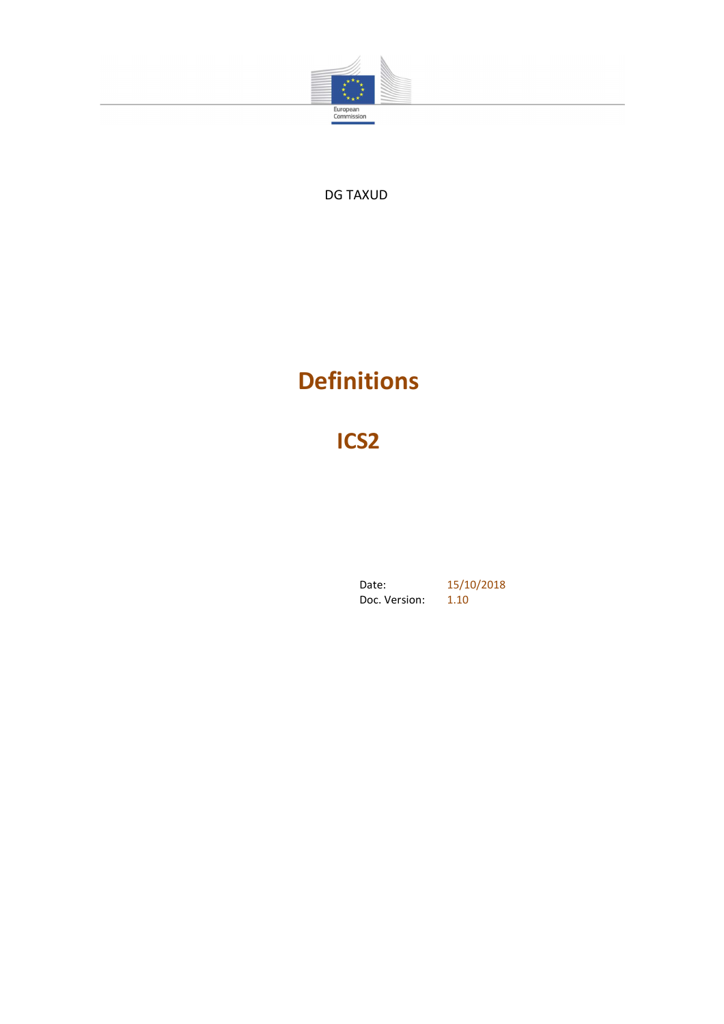

DG TAXUD

# **Definitions**

**ICS2**

Date: 15/10/2018 Doc. Version: 1.10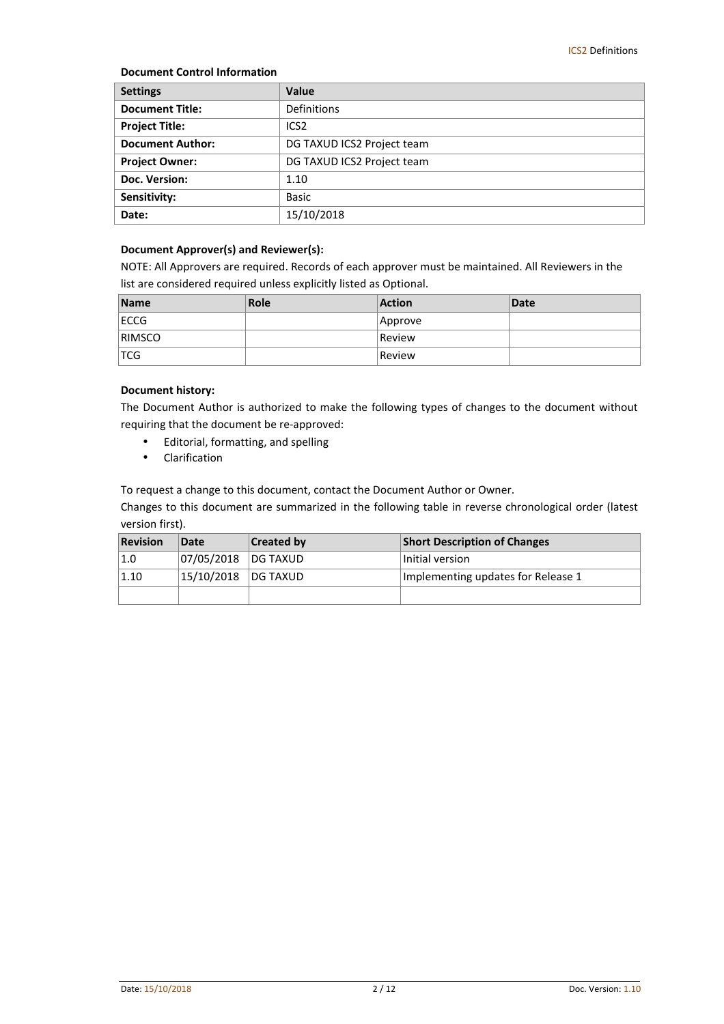#### **Document Control Information**

| <b>Settings</b>         | <b>Value</b>               |
|-------------------------|----------------------------|
| <b>Document Title:</b>  | Definitions                |
| <b>Project Title:</b>   | ICS <sub>2</sub>           |
| <b>Document Author:</b> | DG TAXUD ICS2 Project team |
| <b>Project Owner:</b>   | DG TAXUD ICS2 Project team |
| Doc. Version:           | 1.10                       |
| Sensitivity:            | <b>Basic</b>               |
| Date:                   | 15/10/2018                 |

#### **Document Approver(s) and Reviewer(s):**

NOTE: All Approvers are required. Records of each approver must be maintained. All Reviewers in the list are considered required unless explicitly listed as Optional.

| <b>Name</b>   | Role | <b>Action</b> | <b>Date</b> |
|---------------|------|---------------|-------------|
| ECCG          |      | Approve       |             |
| <b>RIMSCO</b> |      | Review        |             |
| <b>TCG</b>    |      | Review        |             |

#### **Document history:**

The Document Author is authorized to make the following types of changes to the document without requiring that the document be re-approved:

- Editorial, formatting, and spelling
- Clarification

To request a change to this document, contact the Document Author or Owner.

Changes to this document are summarized in the following table in reverse chronological order (latest version first).

| <b>Revision</b> | Date       | <b>Created by</b> | <b>Short Description of Changes</b> |
|-----------------|------------|-------------------|-------------------------------------|
| 1.0             | 07/05/2018 | <b>DG TAXUD</b>   | Initial version                     |
| 1.10            | 15/10/2018 | <b>IDG TAXUD</b>  | Implementing updates for Release 1  |
|                 |            |                   |                                     |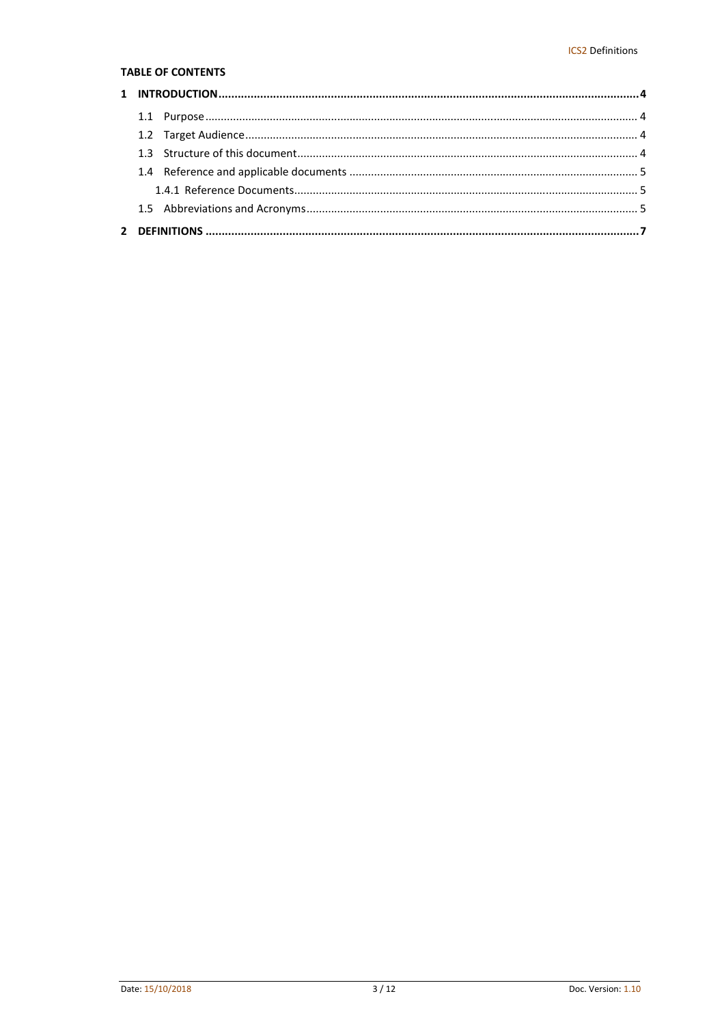#### **TABLE OF CONTENTS**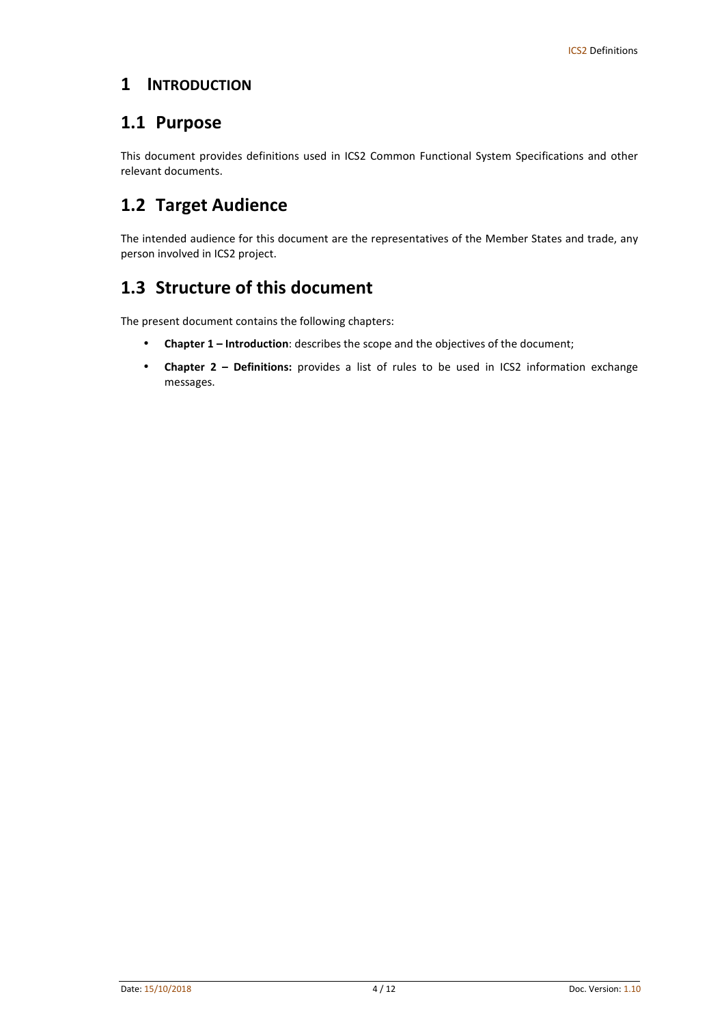#### **1 INTRODUCTION**

### **1.1 Purpose**

This document provides definitions used in ICS2 Common Functional System Specifications and other relevant documents.

# **1.2 Target Audience**

The intended audience for this document are the representatives of the Member States and trade, any person involved in ICS2 project.

### **1.3 Structure of this document**

The present document contains the following chapters:

- **Chapter 1 Introduction**: describes the scope and the objectives of the document;
- **Chapter 2 Definitions:** provides a list of rules to be used in ICS2 information exchange messages.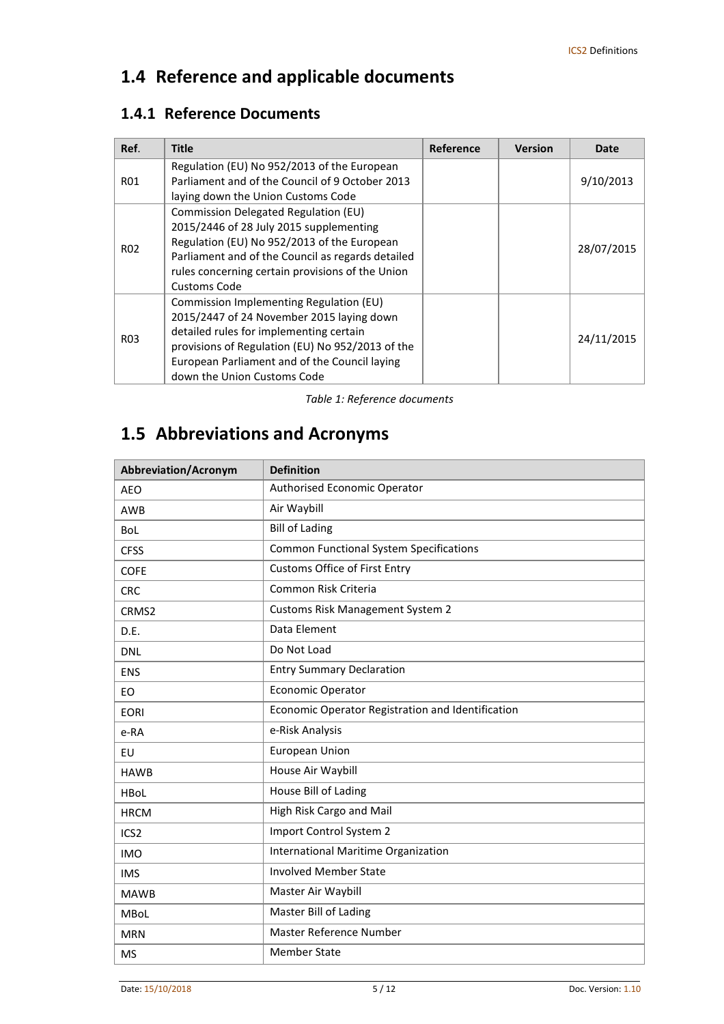# **1.4 Reference and applicable documents**

### **1.4.1 Reference Documents**

| Ref.             | <b>Title</b>                                                                                                                                                                                                                                                        | Reference | <b>Version</b> | Date       |
|------------------|---------------------------------------------------------------------------------------------------------------------------------------------------------------------------------------------------------------------------------------------------------------------|-----------|----------------|------------|
| R01              | Regulation (EU) No 952/2013 of the European<br>Parliament and of the Council of 9 October 2013<br>laying down the Union Customs Code                                                                                                                                |           |                | 9/10/2013  |
| R02              | Commission Delegated Regulation (EU)<br>2015/2446 of 28 July 2015 supplementing<br>Regulation (EU) No 952/2013 of the European<br>Parliament and of the Council as regards detailed<br>rules concerning certain provisions of the Union<br>Customs Code             |           |                | 28/07/2015 |
| R <sub>0</sub> 3 | Commission Implementing Regulation (EU)<br>2015/2447 of 24 November 2015 laying down<br>detailed rules for implementing certain<br>provisions of Regulation (EU) No 952/2013 of the<br>European Parliament and of the Council laying<br>down the Union Customs Code |           |                | 24/11/2015 |

*Table 1: Reference documents* 

# **1.5 Abbreviations and Acronyms**

| <b>Abbreviation/Acronym</b> | <b>Definition</b>                                 |
|-----------------------------|---------------------------------------------------|
| <b>AEO</b>                  | Authorised Economic Operator                      |
| AWB                         | Air Waybill                                       |
| <b>BoL</b>                  | <b>Bill of Lading</b>                             |
| <b>CFSS</b>                 | <b>Common Functional System Specifications</b>    |
| <b>COFE</b>                 | <b>Customs Office of First Entry</b>              |
| <b>CRC</b>                  | Common Risk Criteria                              |
| CRMS <sub>2</sub>           | <b>Customs Risk Management System 2</b>           |
| D.E.                        | Data Element                                      |
| <b>DNL</b>                  | Do Not Load                                       |
| <b>ENS</b>                  | <b>Entry Summary Declaration</b>                  |
| EO                          | Economic Operator                                 |
| <b>EORI</b>                 | Economic Operator Registration and Identification |
| e-RA                        | e-Risk Analysis                                   |
| EU                          | European Union                                    |
| <b>HAWB</b>                 | House Air Waybill                                 |
| <b>HBoL</b>                 | House Bill of Lading                              |
| <b>HRCM</b>                 | High Risk Cargo and Mail                          |
| ICS <sub>2</sub>            | Import Control System 2                           |
| <b>IMO</b>                  | International Maritime Organization               |
| <b>IMS</b>                  | <b>Involved Member State</b>                      |
| <b>MAWB</b>                 | Master Air Waybill                                |
| <b>MBoL</b>                 | Master Bill of Lading                             |
| <b>MRN</b>                  | Master Reference Number                           |
| <b>MS</b>                   | <b>Member State</b>                               |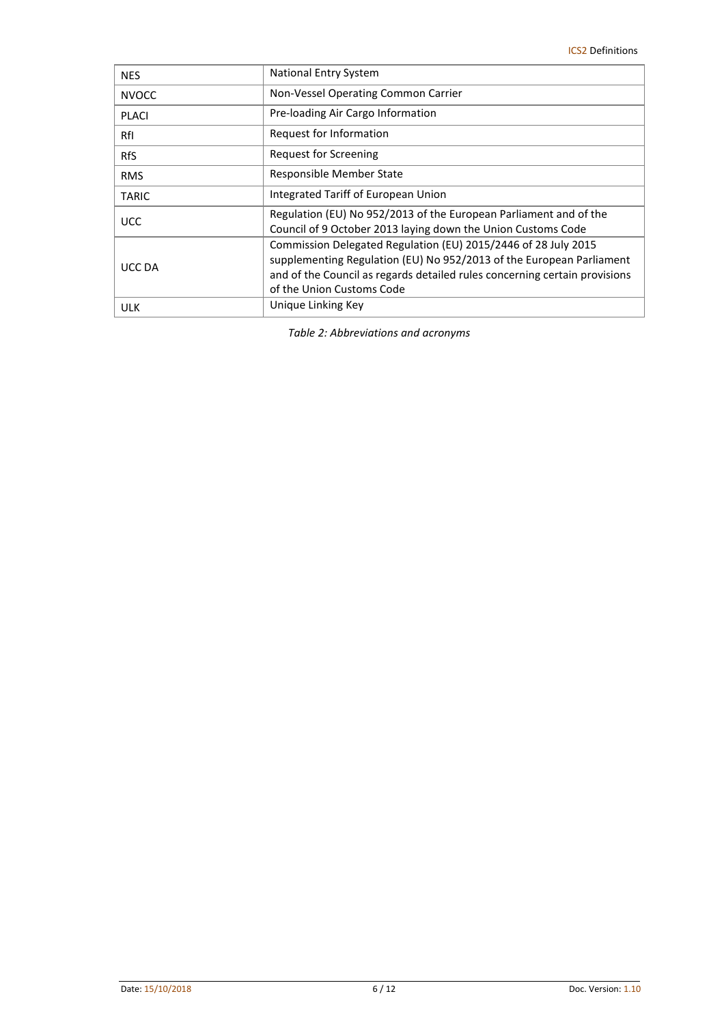| <b>NES</b>   | National Entry System                                                                                                                                                                                                                             |
|--------------|---------------------------------------------------------------------------------------------------------------------------------------------------------------------------------------------------------------------------------------------------|
| <b>NVOCC</b> | Non-Vessel Operating Common Carrier                                                                                                                                                                                                               |
| <b>PLACI</b> | Pre-loading Air Cargo Information                                                                                                                                                                                                                 |
| RfI          | Request for Information                                                                                                                                                                                                                           |
| <b>RfS</b>   | Request for Screening                                                                                                                                                                                                                             |
| <b>RMS</b>   | Responsible Member State                                                                                                                                                                                                                          |
| <b>TARIC</b> | Integrated Tariff of European Union                                                                                                                                                                                                               |
| <b>UCC</b>   | Regulation (EU) No 952/2013 of the European Parliament and of the<br>Council of 9 October 2013 laying down the Union Customs Code                                                                                                                 |
| UCC DA       | Commission Delegated Regulation (EU) 2015/2446 of 28 July 2015<br>supplementing Regulation (EU) No 952/2013 of the European Parliament<br>and of the Council as regards detailed rules concerning certain provisions<br>of the Union Customs Code |
| <b>ULK</b>   | Unique Linking Key                                                                                                                                                                                                                                |

*Table 2: Abbreviations and acronyms*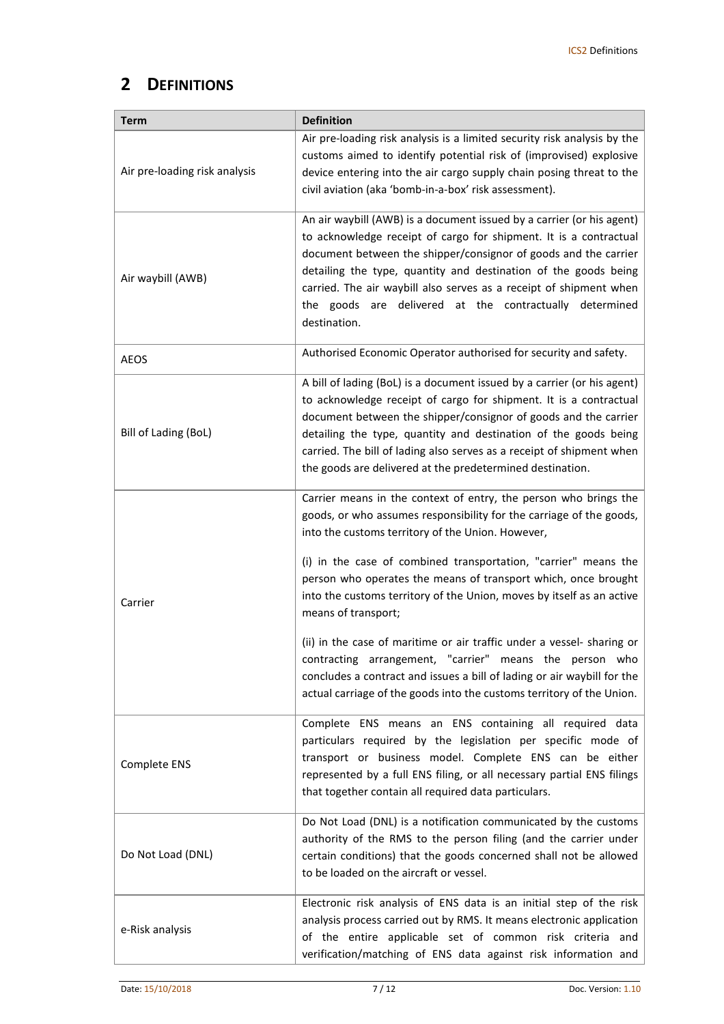### **2 DEFINITIONS**

| Term                          | <b>Definition</b>                                                                                                                                                                                                                                                                                                                                                                                                                                                                                                                                                                                                                                                                                                          |
|-------------------------------|----------------------------------------------------------------------------------------------------------------------------------------------------------------------------------------------------------------------------------------------------------------------------------------------------------------------------------------------------------------------------------------------------------------------------------------------------------------------------------------------------------------------------------------------------------------------------------------------------------------------------------------------------------------------------------------------------------------------------|
| Air pre-loading risk analysis | Air pre-loading risk analysis is a limited security risk analysis by the<br>customs aimed to identify potential risk of (improvised) explosive<br>device entering into the air cargo supply chain posing threat to the<br>civil aviation (aka 'bomb-in-a-box' risk assessment).                                                                                                                                                                                                                                                                                                                                                                                                                                            |
| Air waybill (AWB)             | An air waybill (AWB) is a document issued by a carrier (or his agent)<br>to acknowledge receipt of cargo for shipment. It is a contractual<br>document between the shipper/consignor of goods and the carrier<br>detailing the type, quantity and destination of the goods being<br>carried. The air waybill also serves as a receipt of shipment when<br>the goods are delivered at the contractually determined<br>destination.                                                                                                                                                                                                                                                                                          |
| <b>AEOS</b>                   | Authorised Economic Operator authorised for security and safety.                                                                                                                                                                                                                                                                                                                                                                                                                                                                                                                                                                                                                                                           |
| Bill of Lading (BoL)          | A bill of lading (BoL) is a document issued by a carrier (or his agent)<br>to acknowledge receipt of cargo for shipment. It is a contractual<br>document between the shipper/consignor of goods and the carrier<br>detailing the type, quantity and destination of the goods being<br>carried. The bill of lading also serves as a receipt of shipment when<br>the goods are delivered at the predetermined destination.                                                                                                                                                                                                                                                                                                   |
| Carrier                       | Carrier means in the context of entry, the person who brings the<br>goods, or who assumes responsibility for the carriage of the goods,<br>into the customs territory of the Union. However,<br>(i) in the case of combined transportation, "carrier" means the<br>person who operates the means of transport which, once brought<br>into the customs territory of the Union, moves by itself as an active<br>means of transport;<br>(ii) in the case of maritime or air traffic under a vessel- sharing or<br>contracting arrangement, "carrier" means the person who<br>concludes a contract and issues a bill of lading or air waybill for the<br>actual carriage of the goods into the customs territory of the Union. |
| Complete ENS                  | Complete ENS means an ENS containing all required data<br>particulars required by the legislation per specific mode of<br>transport or business model. Complete ENS can be either<br>represented by a full ENS filing, or all necessary partial ENS filings<br>that together contain all required data particulars.                                                                                                                                                                                                                                                                                                                                                                                                        |
| Do Not Load (DNL)             | Do Not Load (DNL) is a notification communicated by the customs<br>authority of the RMS to the person filing (and the carrier under<br>certain conditions) that the goods concerned shall not be allowed<br>to be loaded on the aircraft or vessel.                                                                                                                                                                                                                                                                                                                                                                                                                                                                        |
| e-Risk analysis               | Electronic risk analysis of ENS data is an initial step of the risk<br>analysis process carried out by RMS. It means electronic application<br>of the entire applicable set of common risk criteria and<br>verification/matching of ENS data against risk information and                                                                                                                                                                                                                                                                                                                                                                                                                                                  |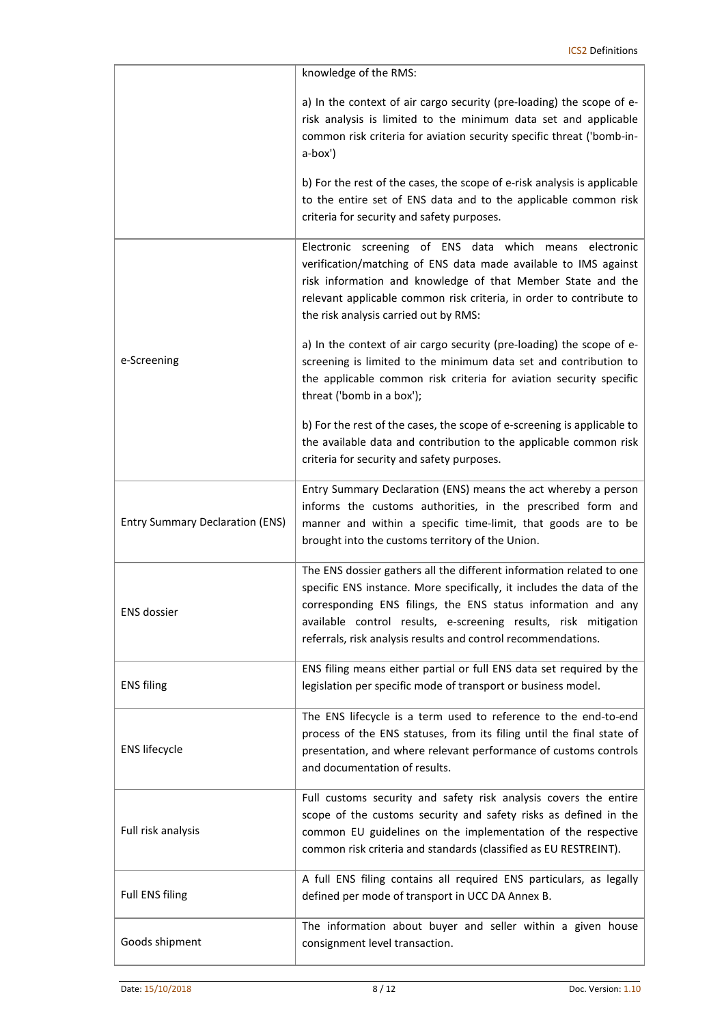|                                        | knowledge of the RMS:                                                                                                                                                                                                                                                                                                                              |
|----------------------------------------|----------------------------------------------------------------------------------------------------------------------------------------------------------------------------------------------------------------------------------------------------------------------------------------------------------------------------------------------------|
|                                        | a) In the context of air cargo security (pre-loading) the scope of e-<br>risk analysis is limited to the minimum data set and applicable<br>common risk criteria for aviation security specific threat ('bomb-in-<br>a-box')                                                                                                                       |
|                                        | b) For the rest of the cases, the scope of e-risk analysis is applicable<br>to the entire set of ENS data and to the applicable common risk<br>criteria for security and safety purposes.                                                                                                                                                          |
|                                        | Electronic screening of ENS data which<br>means electronic<br>verification/matching of ENS data made available to IMS against<br>risk information and knowledge of that Member State and the<br>relevant applicable common risk criteria, in order to contribute to<br>the risk analysis carried out by RMS:                                       |
| e-Screening                            | a) In the context of air cargo security (pre-loading) the scope of e-<br>screening is limited to the minimum data set and contribution to<br>the applicable common risk criteria for aviation security specific<br>threat ('bomb in a box');                                                                                                       |
|                                        | b) For the rest of the cases, the scope of e-screening is applicable to<br>the available data and contribution to the applicable common risk<br>criteria for security and safety purposes.                                                                                                                                                         |
| <b>Entry Summary Declaration (ENS)</b> | Entry Summary Declaration (ENS) means the act whereby a person<br>informs the customs authorities, in the prescribed form and<br>manner and within a specific time-limit, that goods are to be<br>brought into the customs territory of the Union.                                                                                                 |
| <b>ENS dossier</b>                     | The ENS dossier gathers all the different information related to one<br>specific ENS instance. More specifically, it includes the data of the<br>corresponding ENS filings, the ENS status information and any<br>available control results, e-screening results, risk mitigation<br>referrals, risk analysis results and control recommendations. |
| <b>ENS filing</b>                      | ENS filing means either partial or full ENS data set required by the<br>legislation per specific mode of transport or business model.                                                                                                                                                                                                              |
| <b>ENS lifecycle</b>                   | The ENS lifecycle is a term used to reference to the end-to-end<br>process of the ENS statuses, from its filing until the final state of<br>presentation, and where relevant performance of customs controls<br>and documentation of results.                                                                                                      |
| Full risk analysis                     | Full customs security and safety risk analysis covers the entire<br>scope of the customs security and safety risks as defined in the<br>common EU guidelines on the implementation of the respective<br>common risk criteria and standards (classified as EU RESTREINT).                                                                           |
| <b>Full ENS filing</b>                 | A full ENS filing contains all required ENS particulars, as legally<br>defined per mode of transport in UCC DA Annex B.                                                                                                                                                                                                                            |
| Goods shipment                         | The information about buyer and seller within a given house<br>consignment level transaction.                                                                                                                                                                                                                                                      |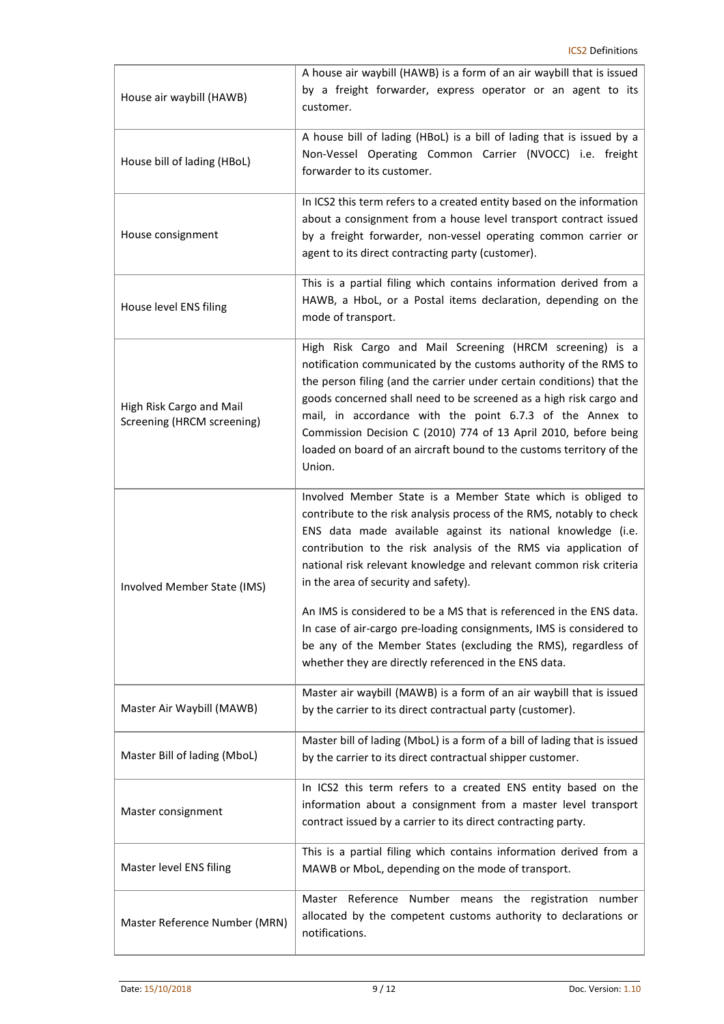| House air waybill (HAWB)                               | A house air waybill (HAWB) is a form of an air waybill that is issued<br>by a freight forwarder, express operator or an agent to its<br>customer.                                                                                                                                                                                                                                                                                                                                                                                                                                                                                                             |
|--------------------------------------------------------|---------------------------------------------------------------------------------------------------------------------------------------------------------------------------------------------------------------------------------------------------------------------------------------------------------------------------------------------------------------------------------------------------------------------------------------------------------------------------------------------------------------------------------------------------------------------------------------------------------------------------------------------------------------|
| House bill of lading (HBoL)                            | A house bill of lading (HBoL) is a bill of lading that is issued by a<br>Non-Vessel Operating Common Carrier (NVOCC) i.e. freight<br>forwarder to its customer.                                                                                                                                                                                                                                                                                                                                                                                                                                                                                               |
| House consignment                                      | In ICS2 this term refers to a created entity based on the information<br>about a consignment from a house level transport contract issued<br>by a freight forwarder, non-vessel operating common carrier or<br>agent to its direct contracting party (customer).                                                                                                                                                                                                                                                                                                                                                                                              |
| House level ENS filing                                 | This is a partial filing which contains information derived from a<br>HAWB, a HboL, or a Postal items declaration, depending on the<br>mode of transport.                                                                                                                                                                                                                                                                                                                                                                                                                                                                                                     |
| High Risk Cargo and Mail<br>Screening (HRCM screening) | High Risk Cargo and Mail Screening (HRCM screening) is a<br>notification communicated by the customs authority of the RMS to<br>the person filing (and the carrier under certain conditions) that the<br>goods concerned shall need to be screened as a high risk cargo and<br>mail, in accordance with the point 6.7.3 of the Annex to<br>Commission Decision C (2010) 774 of 13 April 2010, before being<br>loaded on board of an aircraft bound to the customs territory of the<br>Union.                                                                                                                                                                  |
| Involved Member State (IMS)                            | Involved Member State is a Member State which is obliged to<br>contribute to the risk analysis process of the RMS, notably to check<br>ENS data made available against its national knowledge (i.e.<br>contribution to the risk analysis of the RMS via application of<br>national risk relevant knowledge and relevant common risk criteria<br>in the area of security and safety).<br>An IMS is considered to be a MS that is referenced in the ENS data.<br>In case of air-cargo pre-loading consignments, IMS is considered to<br>be any of the Member States (excluding the RMS), regardless of<br>whether they are directly referenced in the ENS data. |
| Master Air Waybill (MAWB)                              | Master air waybill (MAWB) is a form of an air waybill that is issued<br>by the carrier to its direct contractual party (customer).                                                                                                                                                                                                                                                                                                                                                                                                                                                                                                                            |
| Master Bill of lading (MboL)                           | Master bill of lading (MboL) is a form of a bill of lading that is issued<br>by the carrier to its direct contractual shipper customer.                                                                                                                                                                                                                                                                                                                                                                                                                                                                                                                       |
| Master consignment                                     | In ICS2 this term refers to a created ENS entity based on the<br>information about a consignment from a master level transport<br>contract issued by a carrier to its direct contracting party.                                                                                                                                                                                                                                                                                                                                                                                                                                                               |
| Master level ENS filing                                | This is a partial filing which contains information derived from a<br>MAWB or MboL, depending on the mode of transport.                                                                                                                                                                                                                                                                                                                                                                                                                                                                                                                                       |
| Master Reference Number (MRN)                          | Master Reference Number means the registration number<br>allocated by the competent customs authority to declarations or<br>notifications.                                                                                                                                                                                                                                                                                                                                                                                                                                                                                                                    |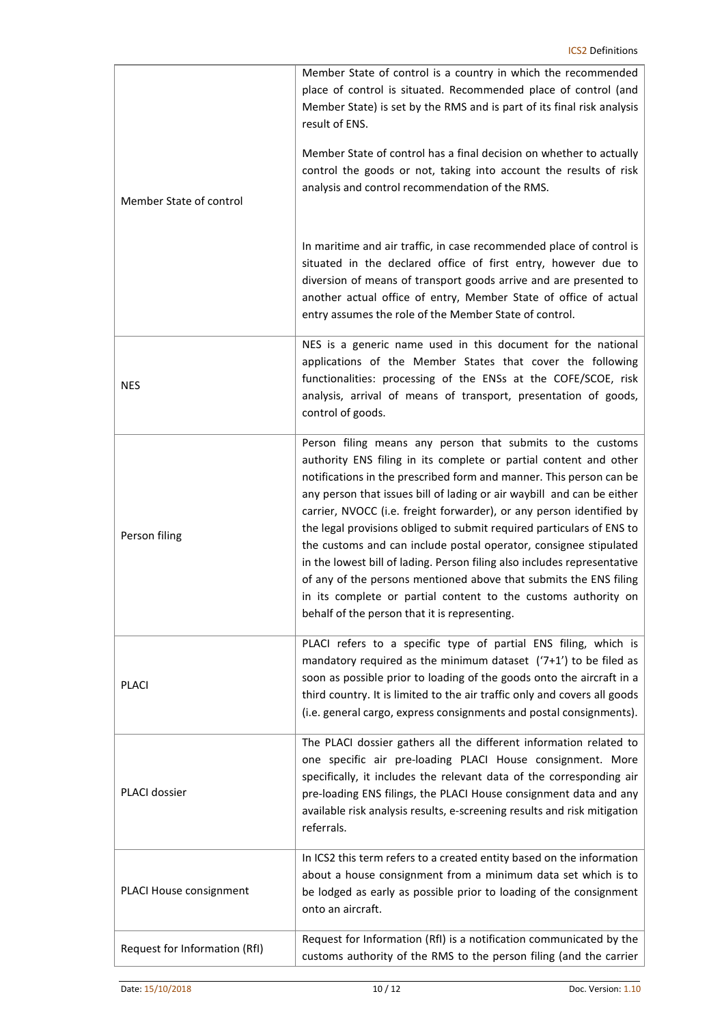| Member State of control       | Member State of control is a country in which the recommended<br>place of control is situated. Recommended place of control (and<br>Member State) is set by the RMS and is part of its final risk analysis<br>result of ENS.<br>Member State of control has a final decision on whether to actually<br>control the goods or not, taking into account the results of risk<br>analysis and control recommendation of the RMS.                                                                                                                                                                                                                                                                                                                                                |
|-------------------------------|----------------------------------------------------------------------------------------------------------------------------------------------------------------------------------------------------------------------------------------------------------------------------------------------------------------------------------------------------------------------------------------------------------------------------------------------------------------------------------------------------------------------------------------------------------------------------------------------------------------------------------------------------------------------------------------------------------------------------------------------------------------------------|
|                               | In maritime and air traffic, in case recommended place of control is<br>situated in the declared office of first entry, however due to<br>diversion of means of transport goods arrive and are presented to<br>another actual office of entry, Member State of office of actual<br>entry assumes the role of the Member State of control.                                                                                                                                                                                                                                                                                                                                                                                                                                  |
| <b>NES</b>                    | NES is a generic name used in this document for the national<br>applications of the Member States that cover the following<br>functionalities: processing of the ENSs at the COFE/SCOE, risk<br>analysis, arrival of means of transport, presentation of goods,<br>control of goods.                                                                                                                                                                                                                                                                                                                                                                                                                                                                                       |
| Person filing                 | Person filing means any person that submits to the customs<br>authority ENS filing in its complete or partial content and other<br>notifications in the prescribed form and manner. This person can be<br>any person that issues bill of lading or air waybill and can be either<br>carrier, NVOCC (i.e. freight forwarder), or any person identified by<br>the legal provisions obliged to submit required particulars of ENS to<br>the customs and can include postal operator, consignee stipulated<br>in the lowest bill of lading. Person filing also includes representative<br>of any of the persons mentioned above that submits the ENS filing<br>in its complete or partial content to the customs authority on<br>behalf of the person that it is representing. |
| <b>PLACI</b>                  | PLACI refers to a specific type of partial ENS filing, which is<br>mandatory required as the minimum dataset $('7+1')$ to be filed as<br>soon as possible prior to loading of the goods onto the aircraft in a<br>third country. It is limited to the air traffic only and covers all goods<br>(i.e. general cargo, express consignments and postal consignments).                                                                                                                                                                                                                                                                                                                                                                                                         |
| PLACI dossier                 | The PLACI dossier gathers all the different information related to<br>one specific air pre-loading PLACI House consignment. More<br>specifically, it includes the relevant data of the corresponding air<br>pre-loading ENS filings, the PLACI House consignment data and any<br>available risk analysis results, e-screening results and risk mitigation<br>referrals.                                                                                                                                                                                                                                                                                                                                                                                                    |
| PLACI House consignment       | In ICS2 this term refers to a created entity based on the information<br>about a house consignment from a minimum data set which is to<br>be lodged as early as possible prior to loading of the consignment<br>onto an aircraft.                                                                                                                                                                                                                                                                                                                                                                                                                                                                                                                                          |
| Request for Information (RfI) | Request for Information (RfI) is a notification communicated by the<br>customs authority of the RMS to the person filing (and the carrier                                                                                                                                                                                                                                                                                                                                                                                                                                                                                                                                                                                                                                  |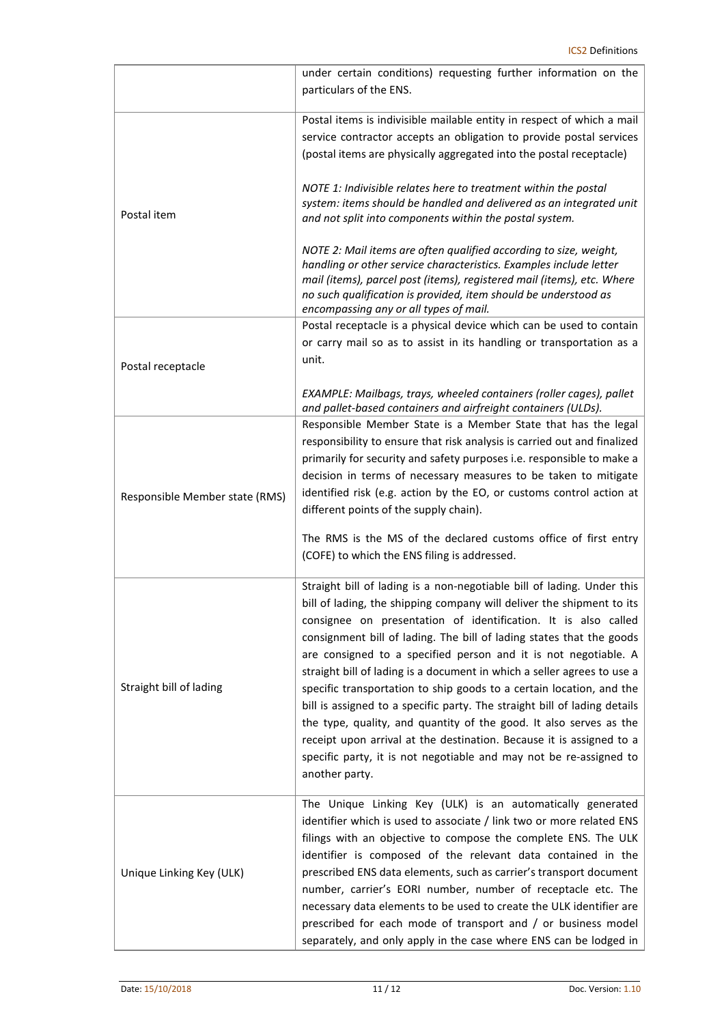|                                | under certain conditions) requesting further information on the<br>particulars of the ENS.                                                                                                                                                                                                                                                                                                                                                                                                                                                                                                                                                                                                                                                                                                                                         |
|--------------------------------|------------------------------------------------------------------------------------------------------------------------------------------------------------------------------------------------------------------------------------------------------------------------------------------------------------------------------------------------------------------------------------------------------------------------------------------------------------------------------------------------------------------------------------------------------------------------------------------------------------------------------------------------------------------------------------------------------------------------------------------------------------------------------------------------------------------------------------|
|                                | Postal items is indivisible mailable entity in respect of which a mail<br>service contractor accepts an obligation to provide postal services<br>(postal items are physically aggregated into the postal receptacle)                                                                                                                                                                                                                                                                                                                                                                                                                                                                                                                                                                                                               |
| Postal item                    | NOTE 1: Indivisible relates here to treatment within the postal<br>system: items should be handled and delivered as an integrated unit<br>and not split into components within the postal system.                                                                                                                                                                                                                                                                                                                                                                                                                                                                                                                                                                                                                                  |
|                                | NOTE 2: Mail items are often qualified according to size, weight,<br>handling or other service characteristics. Examples include letter<br>mail (items), parcel post (items), registered mail (items), etc. Where<br>no such qualification is provided, item should be understood as<br>encompassing any or all types of mail.                                                                                                                                                                                                                                                                                                                                                                                                                                                                                                     |
| Postal receptacle              | Postal receptacle is a physical device which can be used to contain<br>or carry mail so as to assist in its handling or transportation as a<br>unit.                                                                                                                                                                                                                                                                                                                                                                                                                                                                                                                                                                                                                                                                               |
|                                | EXAMPLE: Mailbags, trays, wheeled containers (roller cages), pallet<br>and pallet-based containers and airfreight containers (ULDs).                                                                                                                                                                                                                                                                                                                                                                                                                                                                                                                                                                                                                                                                                               |
| Responsible Member state (RMS) | Responsible Member State is a Member State that has the legal<br>responsibility to ensure that risk analysis is carried out and finalized<br>primarily for security and safety purposes i.e. responsible to make a<br>decision in terms of necessary measures to be taken to mitigate<br>identified risk (e.g. action by the EO, or customs control action at<br>different points of the supply chain).                                                                                                                                                                                                                                                                                                                                                                                                                            |
|                                | The RMS is the MS of the declared customs office of first entry<br>(COFE) to which the ENS filing is addressed.                                                                                                                                                                                                                                                                                                                                                                                                                                                                                                                                                                                                                                                                                                                    |
| Straight bill of lading        | Straight bill of lading is a non-negotiable bill of lading. Under this<br>bill of lading, the shipping company will deliver the shipment to its<br>consignee on presentation of identification. It is also called<br>consignment bill of lading. The bill of lading states that the goods<br>are consigned to a specified person and it is not negotiable. A<br>straight bill of lading is a document in which a seller agrees to use a<br>specific transportation to ship goods to a certain location, and the<br>bill is assigned to a specific party. The straight bill of lading details<br>the type, quality, and quantity of the good. It also serves as the<br>receipt upon arrival at the destination. Because it is assigned to a<br>specific party, it is not negotiable and may not be re-assigned to<br>another party. |
| Unique Linking Key (ULK)       | The Unique Linking Key (ULK) is an automatically generated<br>identifier which is used to associate / link two or more related ENS<br>filings with an objective to compose the complete ENS. The ULK<br>identifier is composed of the relevant data contained in the<br>prescribed ENS data elements, such as carrier's transport document<br>number, carrier's EORI number, number of receptacle etc. The<br>necessary data elements to be used to create the ULK identifier are<br>prescribed for each mode of transport and / or business model<br>separately, and only apply in the case where ENS can be lodged in                                                                                                                                                                                                            |